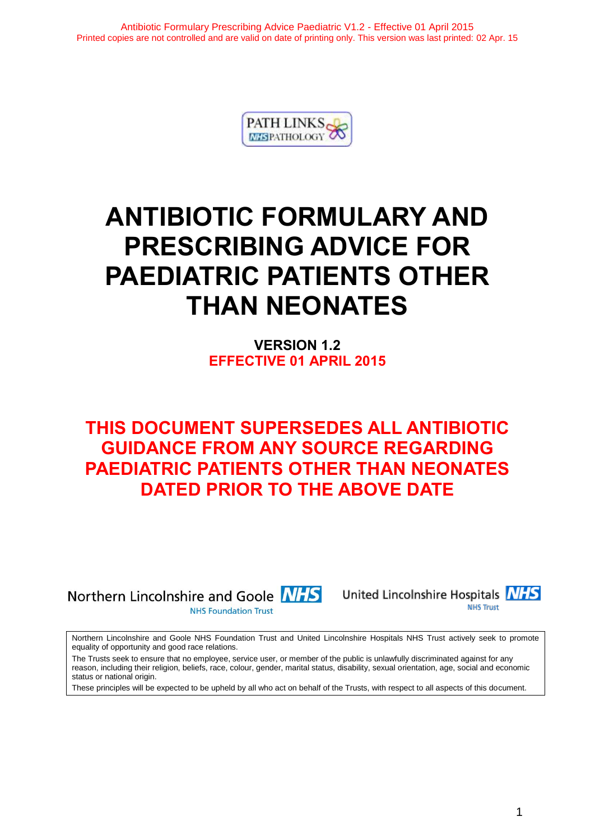

# **ANTIBIOTIC FORMULARY AND PRESCRIBING ADVICE FOR PAEDIATRIC PATIENTS OTHER THAN NEONATES**

**VERSION 1.2 EFFECTIVE 01 APRIL 2015**

## **THIS DOCUMENT SUPERSEDES ALL ANTIBIOTIC GUIDANCE FROM ANY SOURCE REGARDING PAEDIATRIC PATIENTS OTHER THAN NEONATES DATED PRIOR TO THE ABOVE DATE**

Northern Lincolnshire and Goole **NHS** 

**NHS Foundation Trust** 



Northern Lincolnshire and Goole NHS Foundation Trust and United Lincolnshire Hospitals NHS Trust actively seek to promote equality of opportunity and good race relations.

The Trusts seek to ensure that no employee, service user, or member of the public is unlawfully discriminated against for any reason, including their religion, beliefs, race, colour, gender, marital status, disability, sexual orientation, age, social and economic status or national origin.

These principles will be expected to be upheld by all who act on behalf of the Trusts, with respect to all aspects of this document.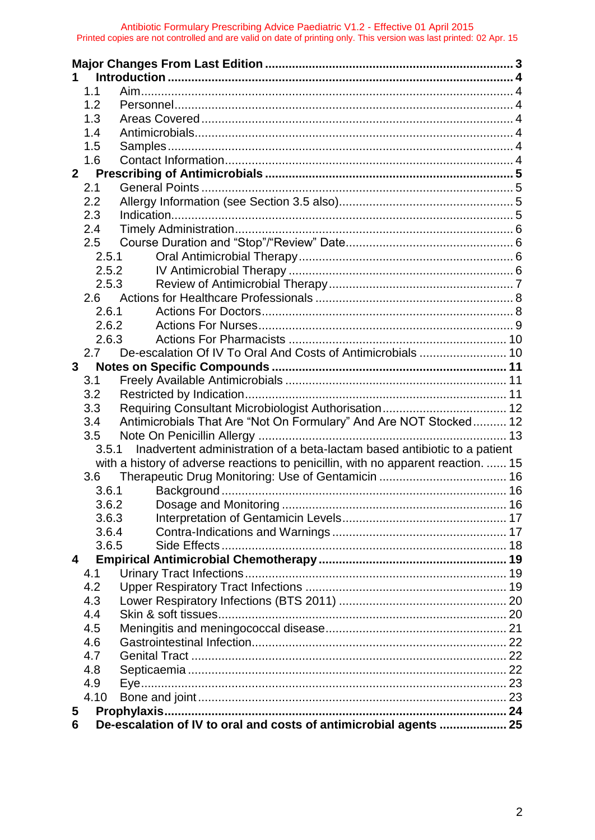|                | 1.1   |                                                                                   |  |
|----------------|-------|-----------------------------------------------------------------------------------|--|
|                | 1.2   |                                                                                   |  |
|                | 1.3   |                                                                                   |  |
|                | 1.4   |                                                                                   |  |
|                | 1.5   |                                                                                   |  |
|                | 1.6   |                                                                                   |  |
| 2 <sup>1</sup> |       |                                                                                   |  |
|                | 2.1   |                                                                                   |  |
|                | 2.2   |                                                                                   |  |
|                | 2.3   |                                                                                   |  |
|                | 2.4   |                                                                                   |  |
|                | 2.5   |                                                                                   |  |
|                | 2.5.1 |                                                                                   |  |
|                |       | 2.5.2                                                                             |  |
|                | 2.5.3 |                                                                                   |  |
|                | 2.6   |                                                                                   |  |
|                | 2.6.1 |                                                                                   |  |
|                | 2.6.2 |                                                                                   |  |
|                | 2.6.3 |                                                                                   |  |
|                | 2.7   |                                                                                   |  |
| 3              |       |                                                                                   |  |
|                | 3.1   |                                                                                   |  |
|                | 3.2   |                                                                                   |  |
|                | 3.3   |                                                                                   |  |
|                | 3.4   | Antimicrobials That Are "Not On Formulary" And Are NOT Stocked 12                 |  |
|                | 3.5   |                                                                                   |  |
|                | 3.5.1 | Inadvertent administration of a beta-lactam based antibiotic to a patient         |  |
|                |       | with a history of adverse reactions to penicillin, with no apparent reaction.  15 |  |
|                | 3.6   |                                                                                   |  |
|                | 3.6.1 |                                                                                   |  |
|                | 3.6.2 |                                                                                   |  |
|                | 3.6.3 |                                                                                   |  |
|                | 3.6.4 |                                                                                   |  |
|                | 3.6.5 |                                                                                   |  |
| 4              |       |                                                                                   |  |
|                | 4.1   |                                                                                   |  |
|                | 4.2   |                                                                                   |  |
|                |       |                                                                                   |  |
|                | 4.3   |                                                                                   |  |
|                | 4.4   |                                                                                   |  |
|                | 4.5   |                                                                                   |  |
|                | 4.6   |                                                                                   |  |
|                | 4.7   |                                                                                   |  |
|                | 4.8   |                                                                                   |  |
|                | 4.9   |                                                                                   |  |
|                | 4.10  |                                                                                   |  |
| 5              |       |                                                                                   |  |
| 6              |       | De-escalation of IV to oral and costs of antimicrobial agents  25                 |  |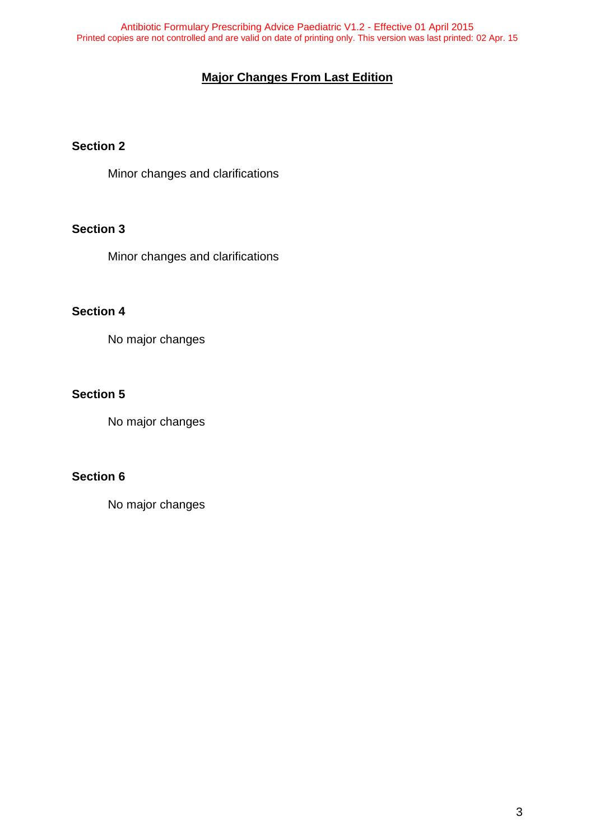## **Major Changes From Last Edition**

## <span id="page-2-0"></span>**Section 2**

Minor changes and clarifications

## **Section 3**

Minor changes and clarifications

## **Section 4**

No major changes

## **Section 5**

No major changes

## **Section 6**

No major changes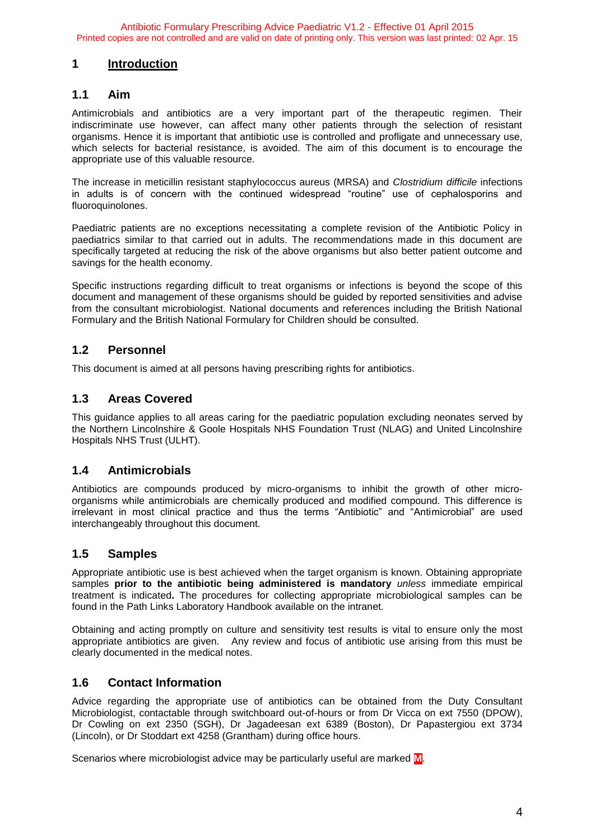#### <span id="page-3-0"></span>**1 Introduction**

#### <span id="page-3-1"></span>**1.1 Aim**

Antimicrobials and antibiotics are a very important part of the therapeutic regimen. Their indiscriminate use however, can affect many other patients through the selection of resistant organisms. Hence it is important that antibiotic use is controlled and profligate and unnecessary use, which selects for bacterial resistance, is avoided. The aim of this document is to encourage the appropriate use of this valuable resource.

The increase in meticillin resistant staphylococcus aureus (MRSA) and *Clostridium difficile* infections in adults is of concern with the continued widespread "routine" use of cephalosporins and fluoroquinolones.

Paediatric patients are no exceptions necessitating a complete revision of the Antibiotic Policy in paediatrics similar to that carried out in adults. The recommendations made in this document are specifically targeted at reducing the risk of the above organisms but also better patient outcome and savings for the health economy.

Specific instructions regarding difficult to treat organisms or infections is beyond the scope of this document and management of these organisms should be guided by reported sensitivities and advise from the consultant microbiologist. National documents and references including the British National Formulary and the British National Formulary for Children should be consulted.

## <span id="page-3-2"></span>**1.2 Personnel**

This document is aimed at all persons having prescribing rights for antibiotics.

## <span id="page-3-3"></span>**1.3 Areas Covered**

This guidance applies to all areas caring for the paediatric population excluding neonates served by the Northern Lincolnshire & Goole Hospitals NHS Foundation Trust (NLAG) and United Lincolnshire Hospitals NHS Trust (ULHT).

## <span id="page-3-4"></span>**1.4 Antimicrobials**

Antibiotics are compounds produced by micro-organisms to inhibit the growth of other microorganisms while antimicrobials are chemically produced and modified compound. This difference is irrelevant in most clinical practice and thus the terms "Antibiotic" and "Antimicrobial" are used interchangeably throughout this document.

## <span id="page-3-5"></span>**1.5 Samples**

Appropriate antibiotic use is best achieved when the target organism is known. Obtaining appropriate samples **prior to the antibiotic being administered is mandatory** *unless* immediate empirical treatment is indicated**.** The procedures for collecting appropriate microbiological samples can be found in the Path Links Laboratory Handbook available on the intranet.

Obtaining and acting promptly on culture and sensitivity test results is vital to ensure only the most appropriate antibiotics are given. Any review and focus of antibiotic use arising from this must be clearly documented in the medical notes.

## <span id="page-3-6"></span>**1.6 Contact Information**

Advice regarding the appropriate use of antibiotics can be obtained from the Duty Consultant Microbiologist, contactable through switchboard out-of-hours or from Dr Vicca on ext 7550 (DPOW), Dr Cowling on ext 2350 (SGH), Dr Jagadeesan ext 6389 (Boston), Dr Papastergiou ext 3734 (Lincoln), or Dr Stoddart ext 4258 (Grantham) during office hours.

Scenarios where microbiologist advice may be particularly useful are marked **M**.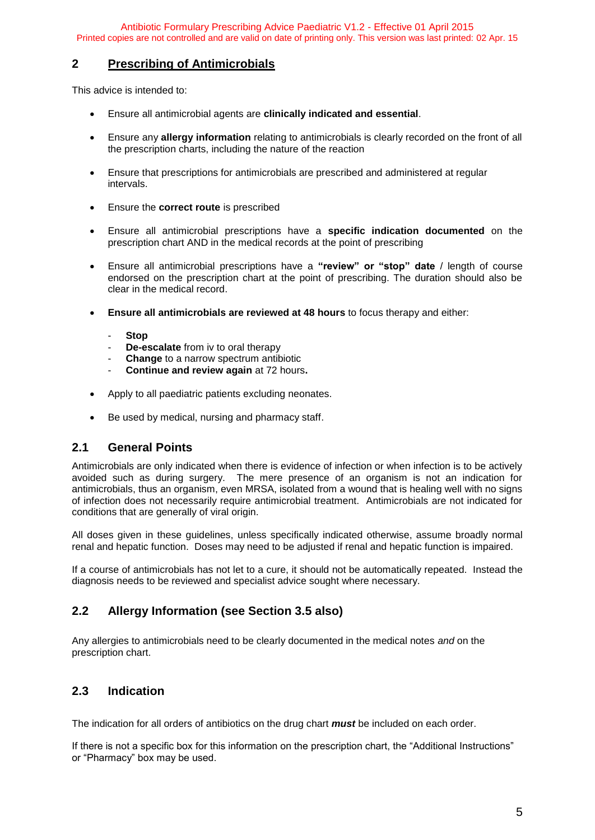#### <span id="page-4-0"></span>**2 Prescribing of Antimicrobials**

This advice is intended to:

- Ensure all antimicrobial agents are **clinically indicated and essential**.
- Ensure any **allergy information** relating to antimicrobials is clearly recorded on the front of all the prescription charts, including the nature of the reaction
- Ensure that prescriptions for antimicrobials are prescribed and administered at regular intervals.
- Ensure the **correct route** is prescribed
- Ensure all antimicrobial prescriptions have a **specific indication documented** on the prescription chart AND in the medical records at the point of prescribing
- Ensure all antimicrobial prescriptions have a **"review" or "stop" date** / length of course endorsed on the prescription chart at the point of prescribing. The duration should also be clear in the medical record.
- **Ensure all antimicrobials are reviewed at 48 hours** to focus therapy and either:
	- **Stop**
	- **De-escalate** from iv to oral therapy
	- **Change** to a narrow spectrum antibiotic
	- **Continue and review again** at 72 hours**.**
- Apply to all paediatric patients excluding neonates.
- Be used by medical, nursing and pharmacy staff.

#### <span id="page-4-1"></span>**2.1 General Points**

Antimicrobials are only indicated when there is evidence of infection or when infection is to be actively avoided such as during surgery. The mere presence of an organism is not an indication for antimicrobials, thus an organism, even MRSA, isolated from a wound that is healing well with no signs of infection does not necessarily require antimicrobial treatment. Antimicrobials are not indicated for conditions that are generally of viral origin.

All doses given in these guidelines, unless specifically indicated otherwise, assume broadly normal renal and hepatic function. Doses may need to be adjusted if renal and hepatic function is impaired.

If a course of antimicrobials has not let to a cure, it should not be automatically repeated. Instead the diagnosis needs to be reviewed and specialist advice sought where necessary.

## <span id="page-4-2"></span>**2.2 Allergy Information (see Section 3.5 also)**

Any allergies to antimicrobials need to be clearly documented in the medical notes *and* on the prescription chart.

## <span id="page-4-3"></span>**2.3 Indication**

The indication for all orders of antibiotics on the drug chart *must* be included on each order.

If there is not a specific box for this information on the prescription chart, the "Additional Instructions" or "Pharmacy" box may be used.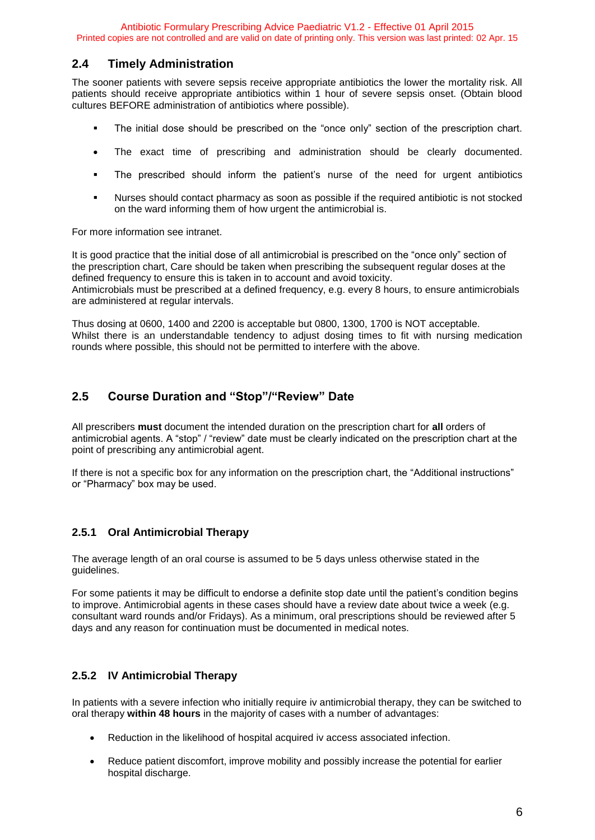#### <span id="page-5-0"></span>**2.4 Timely Administration**

The sooner patients with severe sepsis receive appropriate antibiotics the lower the mortality risk. All patients should receive appropriate antibiotics within 1 hour of severe sepsis onset. (Obtain blood cultures BEFORE administration of antibiotics where possible).

- The initial dose should be prescribed on the "once only" section of the prescription chart.
- The exact time of prescribing and administration should be clearly documented.
- The prescribed should inform the patient's nurse of the need for urgent antibiotics
- Nurses should contact pharmacy as soon as possible if the required antibiotic is not stocked on the ward informing them of how urgent the antimicrobial is.

For more information see intranet.

It is good practice that the initial dose of all antimicrobial is prescribed on the "once only" section of the prescription chart, Care should be taken when prescribing the subsequent regular doses at the defined frequency to ensure this is taken in to account and avoid toxicity. Antimicrobials must be prescribed at a defined frequency, e.g. every 8 hours, to ensure antimicrobials are administered at regular intervals.

Thus dosing at 0600, 1400 and 2200 is acceptable but 0800, 1300, 1700 is NOT acceptable. Whilst there is an understandable tendency to adjust dosing times to fit with nursing medication rounds where possible, this should not be permitted to interfere with the above.

## <span id="page-5-1"></span>**2.5 Course Duration and "Stop"/"Review" Date**

All prescribers **must** document the intended duration on the prescription chart for **all** orders of antimicrobial agents. A "stop" / "review" date must be clearly indicated on the prescription chart at the point of prescribing any antimicrobial agent.

If there is not a specific box for any information on the prescription chart, the "Additional instructions" or "Pharmacy" box may be used.

#### <span id="page-5-2"></span>**2.5.1 Oral Antimicrobial Therapy**

The average length of an oral course is assumed to be 5 days unless otherwise stated in the guidelines.

For some patients it may be difficult to endorse a definite stop date until the patient's condition begins to improve. Antimicrobial agents in these cases should have a review date about twice a week (e.g. consultant ward rounds and/or Fridays). As a minimum, oral prescriptions should be reviewed after 5 days and any reason for continuation must be documented in medical notes.

#### <span id="page-5-3"></span>**2.5.2 IV Antimicrobial Therapy**

In patients with a severe infection who initially require iv antimicrobial therapy, they can be switched to oral therapy **within 48 hours** in the majority of cases with a number of advantages:

- Reduction in the likelihood of hospital acquired iv access associated infection.
- Reduce patient discomfort, improve mobility and possibly increase the potential for earlier hospital discharge.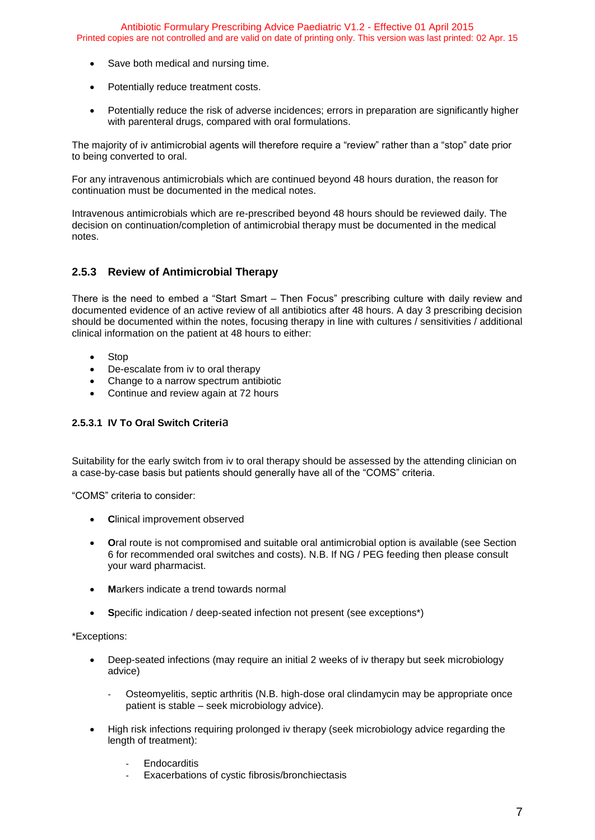- Save both medical and nursing time.
- Potentially reduce treatment costs.
- Potentially reduce the risk of adverse incidences; errors in preparation are significantly higher with parenteral drugs, compared with oral formulations.

The majority of iv antimicrobial agents will therefore require a "review" rather than a "stop" date prior to being converted to oral.

For any intravenous antimicrobials which are continued beyond 48 hours duration, the reason for continuation must be documented in the medical notes.

Intravenous antimicrobials which are re-prescribed beyond 48 hours should be reviewed daily. The decision on continuation/completion of antimicrobial therapy must be documented in the medical notes.

#### <span id="page-6-0"></span>**2.5.3 Review of Antimicrobial Therapy**

There is the need to embed a "Start Smart – Then Focus" prescribing culture with daily review and documented evidence of an active review of all antibiotics after 48 hours. A day 3 prescribing decision should be documented within the notes, focusing therapy in line with cultures / sensitivities / additional clinical information on the patient at 48 hours to either:

- Stop
- De-escalate from iv to oral therapy
- Change to a narrow spectrum antibiotic
- Continue and review again at 72 hours

#### **2.5.3.1 IV To Oral Switch Criteri**a

Suitability for the early switch from iv to oral therapy should be assessed by the attending clinician on a case-by-case basis but patients should generally have all of the "COMS" criteria.

"COMS" criteria to consider:

- **•** Clinical improvement observed
- **O**ral route is not compromised and suitable oral antimicrobial option is available (see Section 6 for recommended oral switches and costs). N.B. If NG / PEG feeding then please consult your ward pharmacist.
- **M**arkers indicate a trend towards normal
- **S**pecific indication / deep-seated infection not present (see exceptions\*)

#### \*Exceptions:

- Deep-seated infections (may require an initial 2 weeks of iv therapy but seek microbiology advice)
	- Osteomyelitis, septic arthritis (N.B. high-dose oral clindamycin may be appropriate once patient is stable – seek microbiology advice).
- High risk infections requiring prolonged iv therapy (seek microbiology advice regarding the length of treatment):
	- **Endocarditis**
	- Exacerbations of cystic fibrosis/bronchiectasis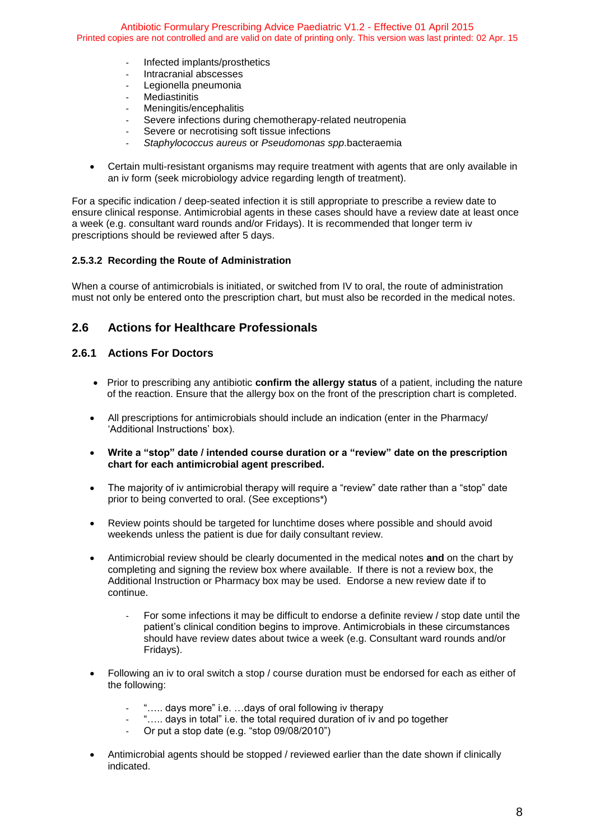- Infected implants/prosthetics
- Intracranial abscesses
- Legionella pneumonia
- **Mediastinitis**
- Meningitis/encephalitis
- Severe infections during chemotherapy-related neutropenia
- Severe or necrotising soft tissue infections
- *Staphylococcus aureus* or *Pseudomonas spp*.bacteraemia
- Certain multi-resistant organisms may require treatment with agents that are only available in an iv form (seek microbiology advice regarding length of treatment).

For a specific indication / deep-seated infection it is still appropriate to prescribe a review date to ensure clinical response. Antimicrobial agents in these cases should have a review date at least once a week (e.g. consultant ward rounds and/or Fridays). It is recommended that longer term iv prescriptions should be reviewed after 5 days.

#### **2.5.3.2 Recording the Route of Administration**

When a course of antimicrobials is initiated, or switched from IV to oral, the route of administration must not only be entered onto the prescription chart, but must also be recorded in the medical notes.

#### <span id="page-7-0"></span>**2.6 Actions for Healthcare Professionals**

#### <span id="page-7-1"></span>**2.6.1 Actions For Doctors**

- Prior to prescribing any antibiotic **confirm the allergy status** of a patient, including the nature of the reaction. Ensure that the allergy box on the front of the prescription chart is completed.
- All prescriptions for antimicrobials should include an indication (enter in the Pharmacy/ 'Additional Instructions' box).
- **Write a "stop" date / intended course duration or a "review" date on the prescription chart for each antimicrobial agent prescribed.**
- The majority of iv antimicrobial therapy will require a "review" date rather than a "stop" date prior to being converted to oral. (See exceptions\*)
- Review points should be targeted for lunchtime doses where possible and should avoid weekends unless the patient is due for daily consultant review.
- Antimicrobial review should be clearly documented in the medical notes **and** on the chart by completing and signing the review box where available. If there is not a review box, the Additional Instruction or Pharmacy box may be used. Endorse a new review date if to continue.
	- For some infections it may be difficult to endorse a definite review / stop date until the patient's clinical condition begins to improve. Antimicrobials in these circumstances should have review dates about twice a week (e.g. Consultant ward rounds and/or Fridays).
- Following an iv to oral switch a stop / course duration must be endorsed for each as either of the following:
	- "..... days more" i.e. ...days of oral following iv therapy
	- "..... days in total" i.e. the total required duration of iv and po together
	- Or put a stop date (e.g. "stop 09/08/2010")
- Antimicrobial agents should be stopped / reviewed earlier than the date shown if clinically indicated.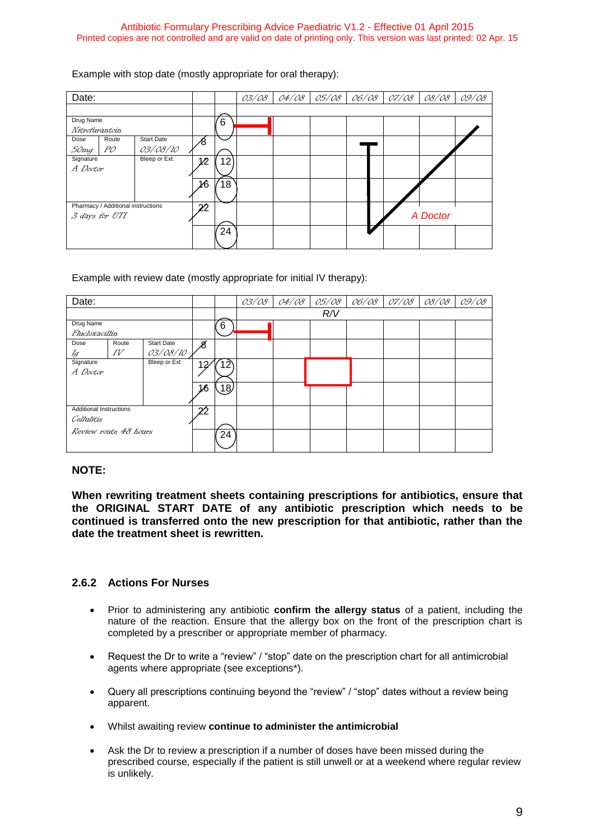Example with stop date (mostly appropriate for oral therapy):

| Date:                              |                   |     |    | 0,3/08 | 04/08 | 0,5/08 | 06/08 07/08 | 08/08    | 09/08 |
|------------------------------------|-------------------|-----|----|--------|-------|--------|-------------|----------|-------|
|                                    |                   |     |    |        |       |        |             |          |       |
| Drug Name                          |                   |     | 6  |        |       |        |             |          |       |
| Nitrofurantoin                     |                   |     |    |        |       |        |             |          |       |
| Route<br>Dose                      | <b>Start Date</b> | ⁄8  |    |        |       |        |             |          |       |
| PÓ<br>50mg                         | 03/08/10          |     |    |        |       |        |             |          |       |
| Signature                          | Bleep or Ext.     | 1/2 | 12 |        |       |        |             |          |       |
| A Doctor                           |                   |     |    |        |       |        |             |          |       |
|                                    |                   | 16  | 18 |        |       |        |             |          |       |
|                                    |                   |     |    |        |       |        |             |          |       |
| Pharmacy / Additional instructions |                   | 22  |    |        |       |        |             |          |       |
| 3 days for UTI                     |                   |     |    |        |       |        |             | A Doctor |       |
|                                    |                   |     | 24 |        |       |        |             |          |       |
|                                    |                   |     |    |        |       |        |             |          |       |

Example with review date (mostly appropriate for initial IV therapy):

| Date:                          |       |                   |    | 03/08             | 04/08 | 05/08 | 06/08 | 07/08 | 08/08 | 09/08 |  |
|--------------------------------|-------|-------------------|----|-------------------|-------|-------|-------|-------|-------|-------|--|
|                                |       |                   |    |                   |       |       | R/V   |       |       |       |  |
| Drug Name                      |       |                   |    | 6                 |       |       |       |       |       |       |  |
| Flucloxacillin                 |       |                   |    |                   |       |       |       |       |       |       |  |
| Dose                           | Route | <b>Start Date</b> | ,8 |                   |       |       |       |       |       |       |  |
| Ig                             | IV    | 03/08/10          |    |                   |       |       |       |       |       |       |  |
| Signature                      |       | Bleep or Ext      | 12 | 12                |       |       |       |       |       |       |  |
| A Doctor                       |       |                   |    |                   |       |       |       |       |       |       |  |
|                                |       |                   | 16 | $\left(18\right)$ |       |       |       |       |       |       |  |
|                                |       |                   |    |                   |       |       |       |       |       |       |  |
| <b>Additional Instructions</b> |       | $\sim$            |    |                   |       |       |       |       |       |       |  |
| Cellulitis                     |       |                   |    |                   |       |       |       |       |       |       |  |
| Review route 48 hours          |       |                   |    |                   |       |       |       |       |       |       |  |
|                                |       |                   |    | 24                |       |       |       |       |       |       |  |
|                                |       |                   |    |                   |       |       |       |       |       |       |  |

#### **NOTE:**

**When rewriting treatment sheets containing prescriptions for antibiotics, ensure that the ORIGINAL START DATE of any antibiotic prescription which needs to be continued is transferred onto the new prescription for that antibiotic, rather than the date the treatment sheet is rewritten.**

#### <span id="page-8-0"></span>**2.6.2 Actions For Nurses**

- Prior to administering any antibiotic **confirm the allergy status** of a patient, including the nature of the reaction. Ensure that the allergy box on the front of the prescription chart is completed by a prescriber or appropriate member of pharmacy.
- Request the Dr to write a "review" / "stop" date on the prescription chart for all antimicrobial agents where appropriate (see exceptions\*).
- Query all prescriptions continuing beyond the "review" / "stop" dates without a review being apparent.
- Whilst awaiting review **continue to administer the antimicrobial**
- Ask the Dr to review a prescription if a number of doses have been missed during the prescribed course, especially if the patient is still unwell or at a weekend where regular review is unlikely.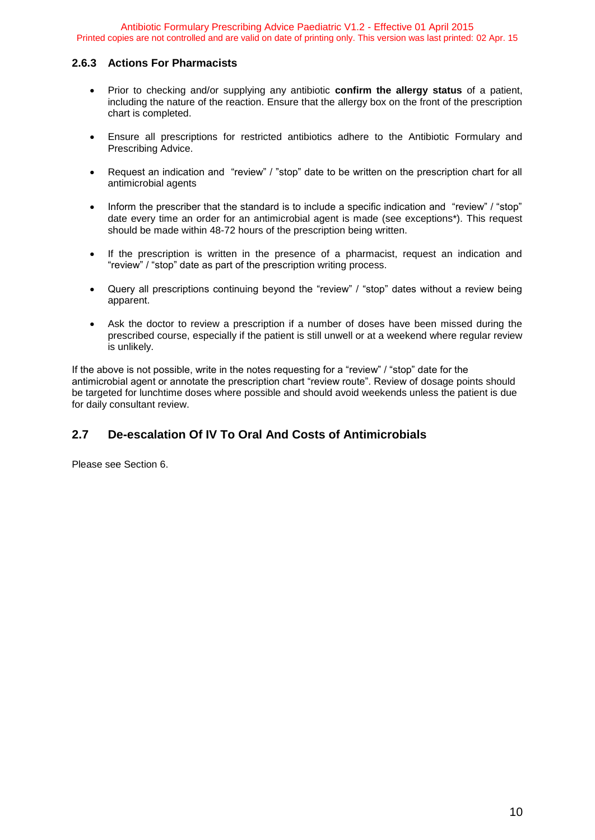#### <span id="page-9-0"></span>**2.6.3 Actions For Pharmacists**

- Prior to checking and/or supplying any antibiotic **confirm the allergy status** of a patient, including the nature of the reaction. Ensure that the allergy box on the front of the prescription chart is completed.
- Ensure all prescriptions for restricted antibiotics adhere to the Antibiotic Formulary and Prescribing Advice.
- Request an indication and "review" / "stop" date to be written on the prescription chart for all antimicrobial agents
- Inform the prescriber that the standard is to include a specific indication and "review" / "stop" date every time an order for an antimicrobial agent is made (see exceptions\*). This request should be made within 48-72 hours of the prescription being written.
- If the prescription is written in the presence of a pharmacist, request an indication and "review" / "stop" date as part of the prescription writing process.
- Query all prescriptions continuing beyond the "review" / "stop" dates without a review being apparent.
- Ask the doctor to review a prescription if a number of doses have been missed during the prescribed course, especially if the patient is still unwell or at a weekend where regular review is unlikely.

If the above is not possible, write in the notes requesting for a "review" / "stop" date for the antimicrobial agent or annotate the prescription chart "review route". Review of dosage points should be targeted for lunchtime doses where possible and should avoid weekends unless the patient is due for daily consultant review.

## <span id="page-9-1"></span>**2.7 De-escalation Of IV To Oral And Costs of Antimicrobials**

Please see Section 6.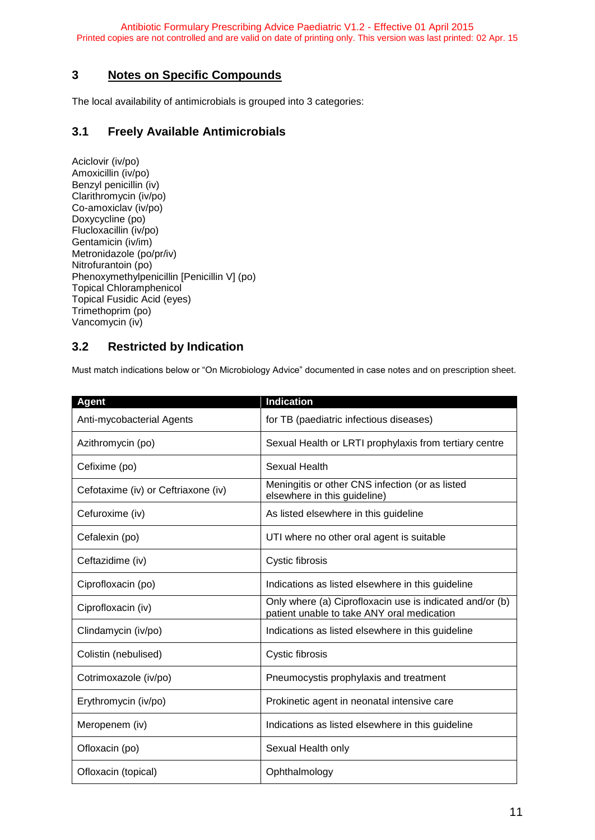## <span id="page-10-0"></span>**3 Notes on Specific Compounds**

The local availability of antimicrobials is grouped into 3 categories:

## <span id="page-10-1"></span>**3.1 Freely Available Antimicrobials**

Aciclovir (iv/po) Amoxicillin (iv/po) Benzyl penicillin (iv) Clarithromycin (iv/po) Co-amoxiclav (iv/po) Doxycycline (po) Flucloxacillin (iv/po) Gentamicin (iv/im) Metronidazole (po/pr/iv) Nitrofurantoin (po) Phenoxymethylpenicillin [Penicillin V] (po) Topical Chloramphenicol Topical Fusidic Acid (eyes) Trimethoprim (po) Vancomycin (iv)

## <span id="page-10-2"></span>**3.2 Restricted by Indication**

Must match indications below or "On Microbiology Advice" documented in case notes and on prescription sheet.

| <b>Agent</b>                        | <b>Indication</b>                                                                                      |
|-------------------------------------|--------------------------------------------------------------------------------------------------------|
| Anti-mycobacterial Agents           | for TB (paediatric infectious diseases)                                                                |
| Azithromycin (po)                   | Sexual Health or LRTI prophylaxis from tertiary centre                                                 |
| Cefixime (po)                       | Sexual Health                                                                                          |
| Cefotaxime (iv) or Ceftriaxone (iv) | Meningitis or other CNS infection (or as listed<br>elsewhere in this guideline)                        |
| Cefuroxime (iv)                     | As listed elsewhere in this guideline                                                                  |
| Cefalexin (po)                      | UTI where no other oral agent is suitable                                                              |
| Ceftazidime (iv)                    | Cystic fibrosis                                                                                        |
| Ciprofloxacin (po)                  | Indications as listed elsewhere in this guideline                                                      |
| Ciprofloxacin (iv)                  | Only where (a) Ciprofloxacin use is indicated and/or (b)<br>patient unable to take ANY oral medication |
| Clindamycin (iv/po)                 | Indications as listed elsewhere in this guideline                                                      |
| Colistin (nebulised)                | Cystic fibrosis                                                                                        |
| Cotrimoxazole (iv/po)               | Pneumocystis prophylaxis and treatment                                                                 |
| Erythromycin (iv/po)                | Prokinetic agent in neonatal intensive care                                                            |
| Meropenem (iv)                      | Indications as listed elsewhere in this guideline                                                      |
| Ofloxacin (po)                      | Sexual Health only                                                                                     |
| Ofloxacin (topical)                 | Ophthalmology                                                                                          |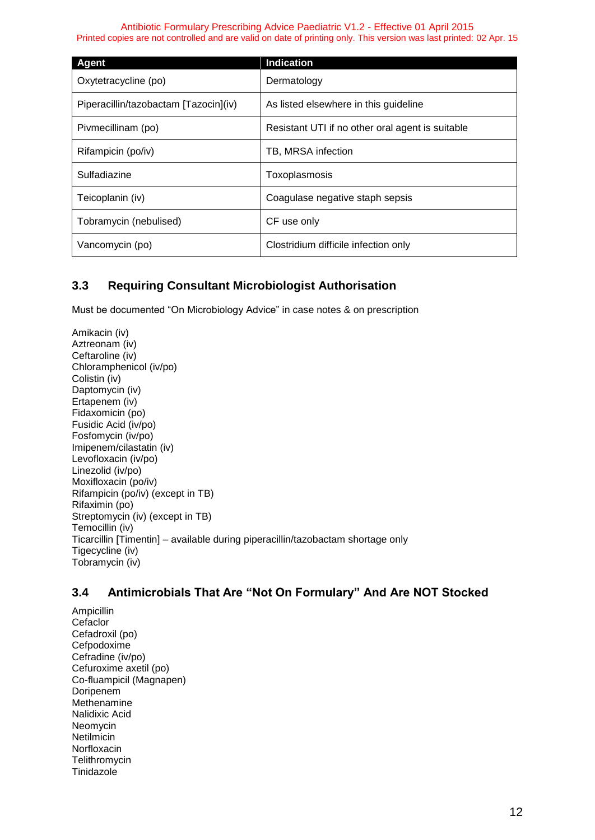| Agent                                 | <b>Indication</b>                                |
|---------------------------------------|--------------------------------------------------|
| Oxytetracycline (po)                  | Dermatology                                      |
| Piperacillin/tazobactam [Tazocin](iv) | As listed elsewhere in this guideline            |
| Pivmecillinam (po)                    | Resistant UTI if no other oral agent is suitable |
| Rifampicin (po/iv)                    | TB, MRSA infection                               |
| Sulfadiazine                          | Toxoplasmosis                                    |
| Teicoplanin (iv)                      | Coagulase negative staph sepsis                  |
| Tobramycin (nebulised)                | CF use only                                      |
| Vancomycin (po)                       | Clostridium difficile infection only             |

## <span id="page-11-0"></span>**3.3 Requiring Consultant Microbiologist Authorisation**

Must be documented "On Microbiology Advice" in case notes & on prescription

Amikacin (iv) Aztreonam (iv) Ceftaroline (iv) Chloramphenicol (iv/po) Colistin (iv) Daptomycin (iv) Ertapenem (iv) Fidaxomicin (po) Fusidic Acid (iv/po) Fosfomycin (iv/po) Imipenem/cilastatin (iv) Levofloxacin (iv/po) Linezolid (iv/po) Moxifloxacin (po/iv) Rifampicin (po/iv) (except in TB) Rifaximin (po) Streptomycin (iv) (except in TB) Temocillin (iv) Ticarcillin [Timentin] – available during piperacillin/tazobactam shortage only Tigecycline (iv) Tobramycin (iv)

## <span id="page-11-1"></span>**3.4 Antimicrobials That Are "Not On Formulary" And Are NOT Stocked**

Ampicillin **Cefaclor** Cefadroxil (po) Cefpodoxime Cefradine (iv/po) Cefuroxime axetil (po) Co-fluampicil (Magnapen) Doripenem Methenamine Nalidixic Acid Neomycin **Netilmicin** Norfloxacin **Telithromycin** Tinidazole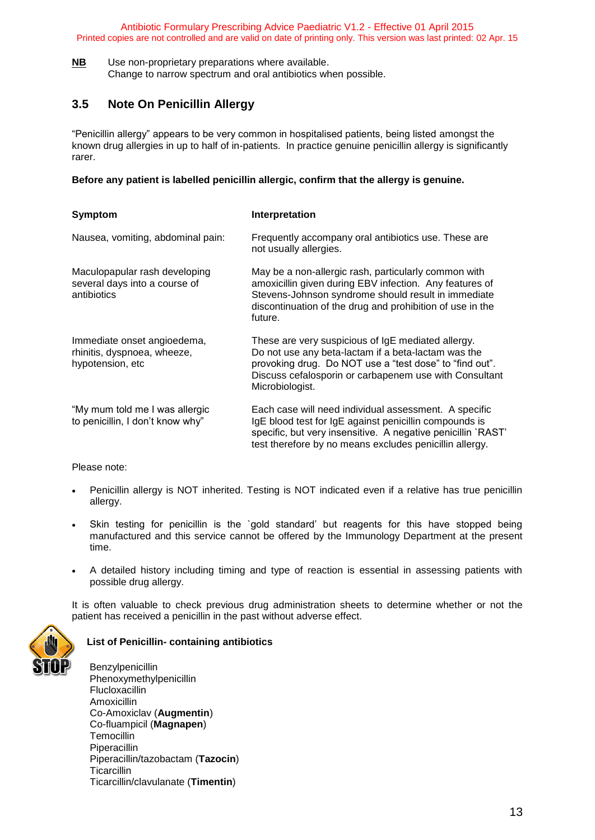**NB** Use non-proprietary preparations where available. Change to narrow spectrum and oral antibiotics when possible.

## <span id="page-12-0"></span>**3.5 Note On Penicillin Allergy**

"Penicillin allergy" appears to be very common in hospitalised patients, being listed amongst the known drug allergies in up to half of in-patients. In practice genuine penicillin allergy is significantly rarer.

#### **Before any patient is labelled penicillin allergic, confirm that the allergy is genuine.**

| <b>Symptom</b>                                                                 | Interpretation                                                                                                                                                                                                                                    |
|--------------------------------------------------------------------------------|---------------------------------------------------------------------------------------------------------------------------------------------------------------------------------------------------------------------------------------------------|
| Nausea, vomiting, abdominal pain:                                              | Frequently accompany oral antibiotics use. These are<br>not usually allergies.                                                                                                                                                                    |
| Maculopapular rash developing<br>several days into a course of<br>antibiotics  | May be a non-allergic rash, particularly common with<br>amoxicillin given during EBV infection. Any features of<br>Stevens-Johnson syndrome should result in immediate<br>discontinuation of the drug and prohibition of use in the<br>future.    |
| Immediate onset angioedema,<br>rhinitis, dyspnoea, wheeze,<br>hypotension, etc | These are very suspicious of IgE mediated allergy.<br>Do not use any beta-lactam if a beta-lactam was the<br>provoking drug. Do NOT use a "test dose" to "find out".<br>Discuss cefalosporin or carbapenem use with Consultant<br>Microbiologist. |
| "My mum told me I was allergic<br>to penicillin, I don't know why"             | Each case will need individual assessment. A specific<br>IgE blood test for IgE against penicillin compounds is<br>specific, but very insensitive. A negative penicillin `RAST'<br>test therefore by no means excludes penicillin allergy.        |

Please note:

- Penicillin allergy is NOT inherited. Testing is NOT indicated even if a relative has true penicillin allergy.
- Skin testing for penicillin is the `gold standard' but reagents for this have stopped being manufactured and this service cannot be offered by the Immunology Department at the present time.
- A detailed history including timing and type of reaction is essential in assessing patients with possible drug allergy.

It is often valuable to check previous drug administration sheets to determine whether or not the patient has received a penicillin in the past without adverse effect.



#### **List of Penicillin- containing antibiotics**

Benzylpenicillin Phenoxymethylpenicillin Flucloxacillin Amoxicillin Co-Amoxiclav (**Augmentin**) Co-fluampicil (**Magnapen**) **Temocillin**  Piperacillin Piperacillin/tazobactam (**Tazocin**) **Ticarcillin** Ticarcillin/clavulanate (**Timentin**)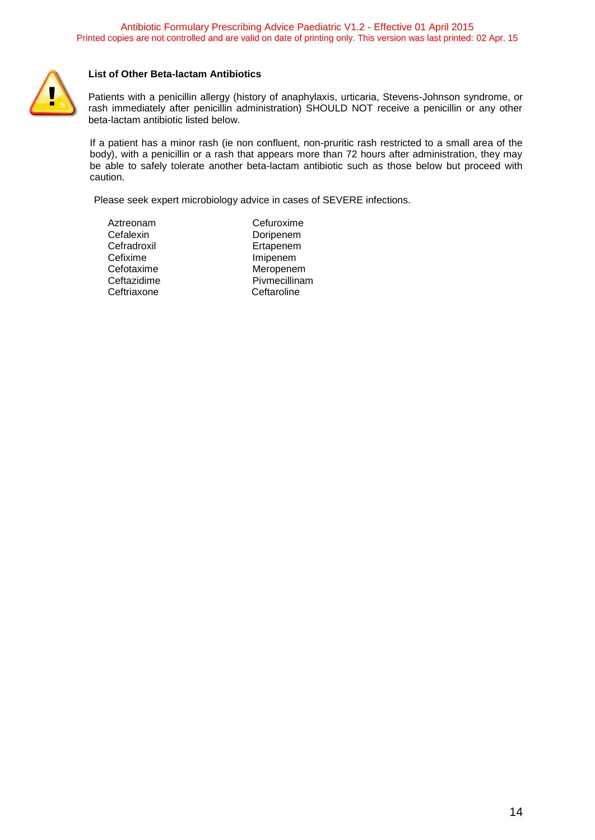

#### **List of Other Beta-lactam Antibiotics**

Patients with a penicillin allergy (history of anaphylaxis, urticaria, Stevens-Johnson syndrome, or rash immediately after penicillin administration) SHOULD NOT receive a penicillin or any other beta-lactam antibiotic listed below.

If a patient has a minor rash (ie non confluent, non-pruritic rash restricted to a small area of the body), with a penicillin or a rash that appears more than 72 hours after administration, they may be able to safely tolerate another beta-lactam antibiotic such as those below but proceed with caution.

Please seek expert microbiology advice in cases of SEVERE infections.

- Cefalexin Doripenem Cefradroxil Ertapenem Cefixime Imipenem Ceftriaxone
- Aztreonam Cefuroxime Cefotaxime Meropenem<br>Ceftazidime Piymecillinar Pivmecillinam<br>Ceftaroline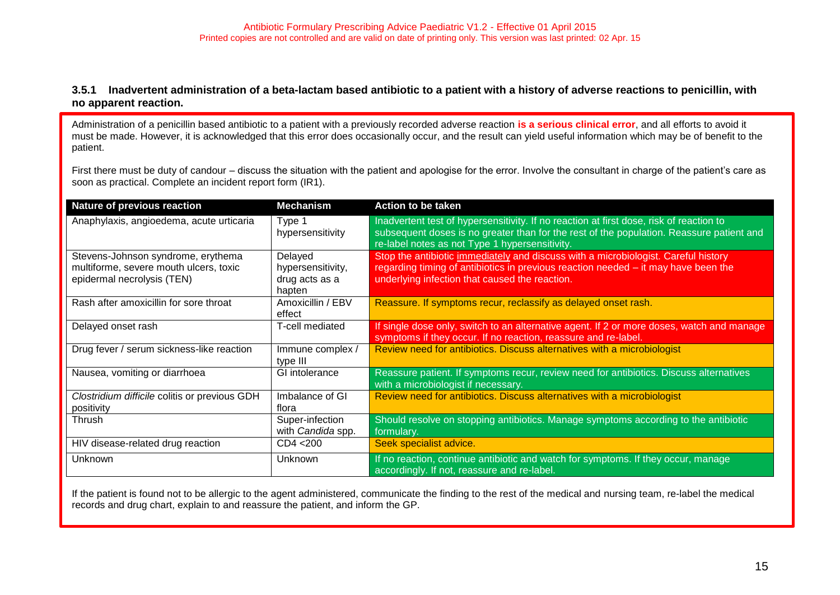#### **3.5.1 Inadvertent administration of a beta-lactam based antibiotic to a patient with a history of adverse reactions to penicillin, with no apparent reaction.**

Administration of a penicillin based antibiotic to a patient with a previously recorded adverse reaction **is a serious clinical error**, and all efforts to avoid it must be made. However, it is acknowledged that this error does occasionally occur, and the result can yield useful information which may be of benefit to the patient.

First there must be duty of candour – discuss the situation with the patient and apologise for the error. Involve the consultant in charge of the patient's care as soon as practical. Complete an incident report form (IR1).

<span id="page-14-0"></span>

| <b>Nature of previous reaction</b>                                                                         | <b>Mechanism</b>                                         | <b>Action to be taken</b>                                                                                                                                                                                                             |
|------------------------------------------------------------------------------------------------------------|----------------------------------------------------------|---------------------------------------------------------------------------------------------------------------------------------------------------------------------------------------------------------------------------------------|
| Anaphylaxis, angioedema, acute urticaria                                                                   | Type 1<br>hypersensitivity                               | Inadvertent test of hypersensitivity. If no reaction at first dose, risk of reaction to<br>subsequent doses is no greater than for the rest of the population. Reassure patient and<br>re-label notes as not Type 1 hypersensitivity. |
| Stevens-Johnson syndrome, erythema<br>multiforme, severe mouth ulcers, toxic<br>epidermal necrolysis (TEN) | Delayed<br>hypersensitivity,<br>drug acts as a<br>hapten | Stop the antibiotic immediately and discuss with a microbiologist. Careful history<br>regarding timing of antibiotics in previous reaction needed – it may have been the<br>underlying infection that caused the reaction.            |
| Rash after amoxicillin for sore throat                                                                     | Amoxicillin / EBV<br>effect                              | Reassure. If symptoms recur, reclassify as delayed onset rash.                                                                                                                                                                        |
| Delayed onset rash                                                                                         | T-cell mediated                                          | If single dose only, switch to an alternative agent. If 2 or more doses, watch and manage<br>symptoms if they occur. If no reaction, reassure and re-label.                                                                           |
| Drug fever / serum sickness-like reaction                                                                  | Immune complex /<br>type III                             | Review need for antibiotics. Discuss alternatives with a microbiologist                                                                                                                                                               |
| Nausea, vomiting or diarrhoea                                                                              | GI intolerance                                           | Reassure patient. If symptoms recur, review need for antibiotics. Discuss alternatives<br>with a microbiologist if necessary.                                                                                                         |
| Clostridium difficile colitis or previous GDH<br>positivity                                                | Imbalance of GI<br>flora                                 | Review need for antibiotics. Discuss alternatives with a microbiologist                                                                                                                                                               |
| Thrush                                                                                                     | Super-infection<br>with Candida spp.                     | Should resolve on stopping antibiotics. Manage symptoms according to the antibiotic<br>formulary.                                                                                                                                     |
| HIV disease-related drug reaction                                                                          | CD4 < 200                                                | Seek specialist advice.                                                                                                                                                                                                               |
| <b>Unknown</b>                                                                                             | Unknown                                                  | If no reaction, continue antibiotic and watch for symptoms. If they occur, manage<br>accordingly. If not, reassure and re-label.                                                                                                      |

If the patient is found not to be allergic to the agent administered, communicate the finding to the rest of the medical and nursing team, re-label the medical records and drug chart, explain to and reassure the patient, and inform the GP.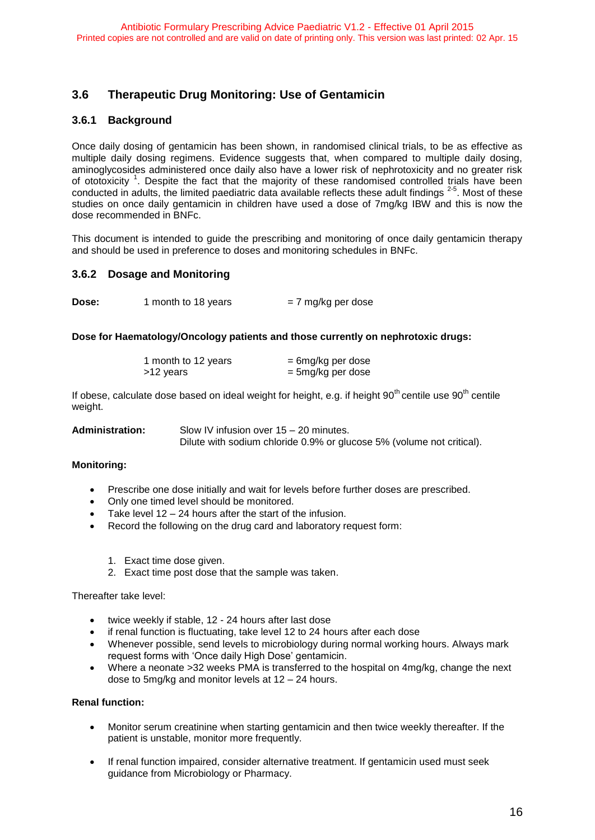## <span id="page-15-0"></span>**3.6 Therapeutic Drug Monitoring: Use of Gentamicin**

#### <span id="page-15-1"></span>**3.6.1 Background**

Once daily dosing of gentamicin has been shown, in randomised clinical trials, to be as effective as multiple daily dosing regimens. Evidence suggests that, when compared to multiple daily dosing, aminoglycosides administered once daily also have a lower risk of nephrotoxicity and no greater risk of ototoxicity<sup>1</sup>. Despite the fact that the majority of these randomised controlled trials have been conducted in adults, the limited paediatric data available reflects these adult findings  $2-5$ . Most of these studies on once daily gentamicin in children have used a dose of 7mg/kg IBW and this is now the dose recommended in BNFc.

This document is intended to guide the prescribing and monitoring of once daily gentamicin therapy and should be used in preference to doses and monitoring schedules in BNFc.

#### <span id="page-15-2"></span>**3.6.2 Dosage and Monitoring**

| Dose: | 1 month to 18 years | = 7 mg/kg per dose |
|-------|---------------------|--------------------|
|-------|---------------------|--------------------|

#### **Dose for Haematology/Oncology patients and those currently on nephrotoxic drugs:**

| 1 month to 12 years | $= 6$ mg/kg per dose |
|---------------------|----------------------|
| >12 years           | = 5mg/kg per dose    |

If obese, calculate dose based on ideal weight for height, e.g. if height  $90<sup>th</sup>$  centile use  $90<sup>th</sup>$  centile weight.

| Administration: | Slow IV infusion over 15 – 20 minutes.                                |
|-----------------|-----------------------------------------------------------------------|
|                 | Dilute with sodium chloride 0.9% or glucose 5% (volume not critical). |

#### **Monitoring:**

- Prescribe one dose initially and wait for levels before further doses are prescribed.
- Only one timed level should be monitored.
- Take level 12 24 hours after the start of the infusion.
- Record the following on the drug card and laboratory request form:
	- 1. Exact time dose given.
	- 2. Exact time post dose that the sample was taken.

Thereafter take level:

- twice weekly if stable, 12 24 hours after last dose
- if renal function is fluctuating, take level 12 to 24 hours after each dose
- Whenever possible, send levels to microbiology during normal working hours. Always mark request forms with 'Once daily High Dose' gentamicin.
- Where a neonate >32 weeks PMA is transferred to the hospital on 4mg/kg, change the next dose to 5mg/kg and monitor levels at 12 – 24 hours.

#### **Renal function:**

- Monitor serum creatinine when starting gentamicin and then twice weekly thereafter. If the patient is unstable, monitor more frequently.
- If renal function impaired, consider alternative treatment. If gentamicin used must seek guidance from Microbiology or Pharmacy.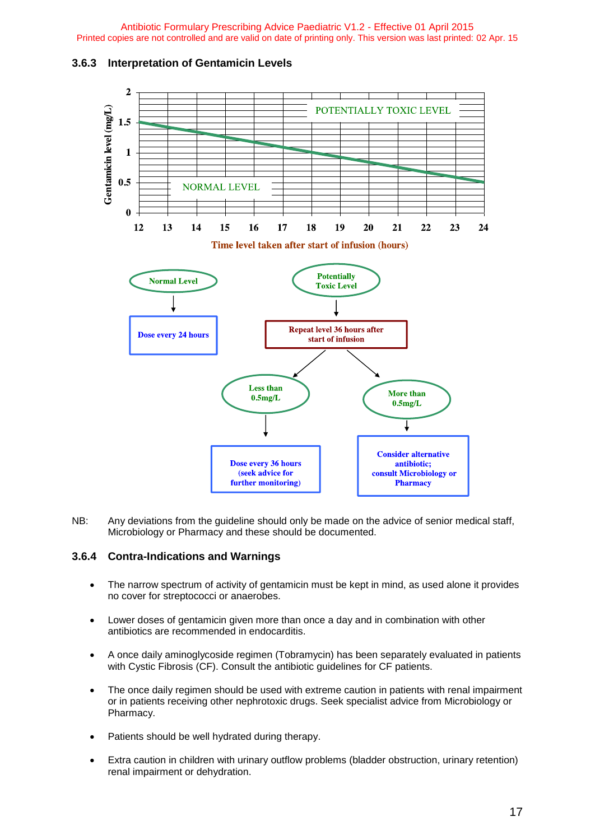#### <span id="page-16-0"></span>**3.6.3 Interpretation of Gentamicin Levels**



NB: Any deviations from the guideline should only be made on the advice of senior medical staff, Microbiology or Pharmacy and these should be documented.

#### <span id="page-16-1"></span>**3.6.4 Contra-Indications and Warnings**

- The narrow spectrum of activity of gentamicin must be kept in mind, as used alone it provides no cover for streptococci or anaerobes.
- Lower doses of gentamicin given more than once a day and in combination with other antibiotics are recommended in endocarditis.
- A once daily aminoglycoside regimen (Tobramycin) has been separately evaluated in patients with Cystic Fibrosis (CF). Consult the antibiotic guidelines for CF patients.
- The once daily regimen should be used with extreme caution in patients with renal impairment or in patients receiving other nephrotoxic drugs. Seek specialist advice from Microbiology or Pharmacy.
- Patients should be well hydrated during therapy.
- Extra caution in children with urinary outflow problems (bladder obstruction, urinary retention) renal impairment or dehydration.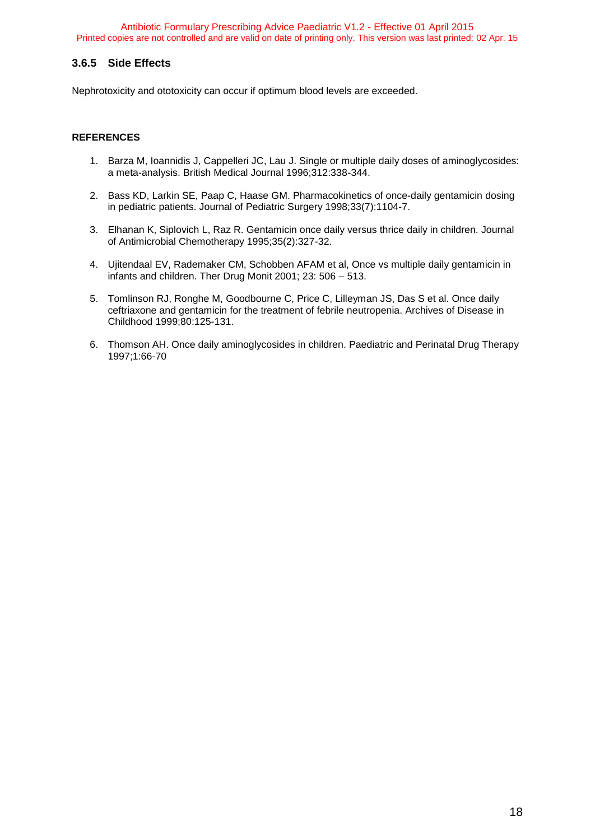#### <span id="page-17-0"></span>**3.6.5 Side Effects**

Nephrotoxicity and ototoxicity can occur if optimum blood levels are exceeded.

#### **REFERENCES**

- 1. Barza M, Ioannidis J, Cappelleri JC, Lau J. Single or multiple daily doses of aminoglycosides: a meta-analysis. British Medical Journal 1996;312:338-344.
- 2. Bass KD, Larkin SE, Paap C, Haase GM. Pharmacokinetics of once-daily gentamicin dosing in pediatric patients. Journal of Pediatric Surgery 1998;33(7):1104-7.
- 3. Elhanan K, Siplovich L, Raz R. Gentamicin once daily versus thrice daily in children. Journal of Antimicrobial Chemotherapy 1995;35(2):327-32.
- 4. Ujitendaal EV, Rademaker CM, Schobben AFAM et al, Once vs multiple daily gentamicin in infants and children. Ther Drug Monit 2001; 23: 506 – 513.
- 5. Tomlinson RJ, Ronghe M, Goodbourne C, Price C, Lilleyman JS, Das S et al. Once daily ceftriaxone and gentamicin for the treatment of febrile neutropenia. Archives of Disease in Childhood 1999;80:125-131.
- 6. Thomson AH. Once daily aminoglycosides in children. Paediatric and Perinatal Drug Therapy 1997;1:66-70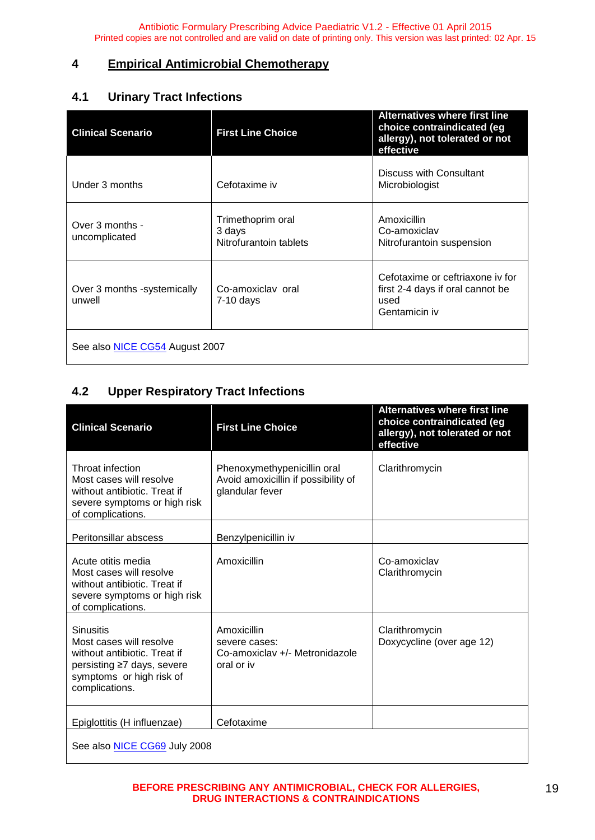## <span id="page-18-0"></span>**4 Empirical Antimicrobial Chemotherapy**

## <span id="page-18-1"></span>**4.1 Urinary Tract Infections**

| <b>Clinical Scenario</b>              | <b>First Line Choice</b>                              | <b>Alternatives where first line</b><br>choice contraindicated (eg<br>allergy), not tolerated or not<br>effective |  |  |  |
|---------------------------------------|-------------------------------------------------------|-------------------------------------------------------------------------------------------------------------------|--|--|--|
| Under 3 months                        | Cefotaxime iv                                         | <b>Discuss with Consultant</b><br>Microbiologist                                                                  |  |  |  |
| Over 3 months -<br>uncomplicated      | Trimethoprim oral<br>3 days<br>Nitrofurantoin tablets | Amoxicillin<br>Co-amoxiclav<br>Nitrofurantoin suspension                                                          |  |  |  |
| Over 3 months -systemically<br>unwell | Co-amoxiclay oral<br>7-10 days                        | Cefotaxime or ceftriaxone iv for<br>first 2-4 days if oral cannot be<br>used<br>Gentamicin iv                     |  |  |  |
| See also NICE CG54 August 2007        |                                                       |                                                                                                                   |  |  |  |

## <span id="page-18-2"></span>**4.2 Upper Respiratory Tract Infections**

| <b>Clinical Scenario</b>                                                                                                                                | <b>First Line Choice</b>                                                              | <b>Alternatives where first line</b><br>choice contraindicated (eg<br>allergy), not tolerated or not<br>effective |  |  |
|---------------------------------------------------------------------------------------------------------------------------------------------------------|---------------------------------------------------------------------------------------|-------------------------------------------------------------------------------------------------------------------|--|--|
| Throat infection<br>Most cases will resolve<br>without antibiotic. Treat if<br>severe symptoms or high risk<br>of complications.                        | Phenoxymethypenicillin oral<br>Avoid amoxicillin if possibility of<br>glandular fever | Clarithromycin                                                                                                    |  |  |
| Peritonsillar abscess                                                                                                                                   | Benzylpenicillin iv                                                                   |                                                                                                                   |  |  |
| Acute otitis media<br>Most cases will resolve<br>without antibiotic. Treat if<br>severe symptoms or high risk<br>of complications.                      | Amoxicillin                                                                           | Co-amoxiclav<br>Clarithromycin                                                                                    |  |  |
| <b>Sinusitis</b><br>Most cases will resolve<br>without antibiotic. Treat if<br>persisting ≥7 days, severe<br>symptoms or high risk of<br>complications. | Amoxicillin<br>severe cases:<br>Co-amoxiclay +/- Metronidazole<br>oral or iv          | Clarithromycin<br>Doxycycline (over age 12)                                                                       |  |  |
| Epiglottitis (H influenzae)                                                                                                                             | Cefotaxime                                                                            |                                                                                                                   |  |  |
| See also <b>NICE CG69</b> July 2008                                                                                                                     |                                                                                       |                                                                                                                   |  |  |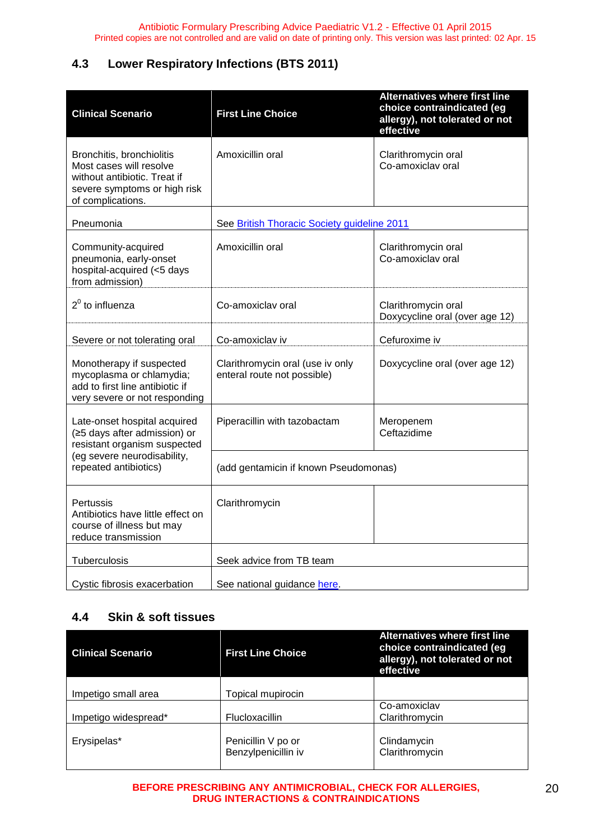## <span id="page-19-0"></span>**4.3 Lower Respiratory Infections (BTS 2011)**

| <b>Clinical Scenario</b>                                                                                                                  | <b>First Line Choice</b>                                        | <b>Alternatives where first line</b><br>choice contraindicated (eg<br>allergy), not tolerated or not<br>effective |  |
|-------------------------------------------------------------------------------------------------------------------------------------------|-----------------------------------------------------------------|-------------------------------------------------------------------------------------------------------------------|--|
| Bronchitis, bronchiolitis<br>Most cases will resolve<br>without antibiotic. Treat if<br>severe symptoms or high risk<br>of complications. | Amoxicillin oral                                                | Clarithromycin oral<br>Co-amoxiclav oral                                                                          |  |
| Pneumonia                                                                                                                                 | See British Thoracic Society guideline 2011                     |                                                                                                                   |  |
| Community-acquired<br>pneumonia, early-onset<br>hospital-acquired (<5 days<br>from admission)                                             | Amoxicillin oral                                                | Clarithromycin oral<br>Co-amoxiclav oral                                                                          |  |
| $2^0$ to influenza                                                                                                                        | Co-amoxiclav oral                                               | Clarithromycin oral<br>Doxycycline oral (over age 12)                                                             |  |
| Severe or not tolerating oral                                                                                                             | Co-amoxiclav iv                                                 | Cefuroxime iv                                                                                                     |  |
| Monotherapy if suspected<br>mycoplasma or chlamydia;<br>add to first line antibiotic if<br>very severe or not responding                  | Clarithromycin oral (use iv only<br>enteral route not possible) | Doxycycline oral (over age 12)                                                                                    |  |
| Late-onset hospital acquired<br>(≥5 days after admission) or<br>resistant organism suspected                                              | Piperacillin with tazobactam                                    | Meropenem<br>Ceftazidime                                                                                          |  |
| (eg severe neurodisability,<br>repeated antibiotics)                                                                                      | (add gentamicin if known Pseudomonas)                           |                                                                                                                   |  |
| Pertussis<br>Antibiotics have little effect on<br>course of illness but may<br>reduce transmission                                        | Clarithromycin                                                  |                                                                                                                   |  |
| Tuberculosis                                                                                                                              | Seek advice from TB team                                        |                                                                                                                   |  |
| Cystic fibrosis exacerbation                                                                                                              | See national guidance here.                                     |                                                                                                                   |  |

## <span id="page-19-1"></span>**4.4 Skin & soft tissues**

| <b>Clinical Scenario</b> | <b>First Line Choice</b>                  | <b>Alternatives where first line</b><br>choice contraindicated (eg<br>allergy), not tolerated or not<br>effective |
|--------------------------|-------------------------------------------|-------------------------------------------------------------------------------------------------------------------|
|                          |                                           |                                                                                                                   |
| Impetigo small area      | Topical mupirocin                         |                                                                                                                   |
|                          |                                           | Co-amoxiclav                                                                                                      |
| Impetigo widespread*     | <b>Flucloxacillin</b>                     | Clarithromycin                                                                                                    |
| Erysipelas*              | Penicillin V po or<br>Benzylpenicillin iv | Clindamycin<br>Clarithromycin                                                                                     |

**BEFORE PRESCRIBING ANY ANTIMICROBIAL, CHECK FOR ALLERGIES, DRUG INTERACTIONS & CONTRAINDICATIONS**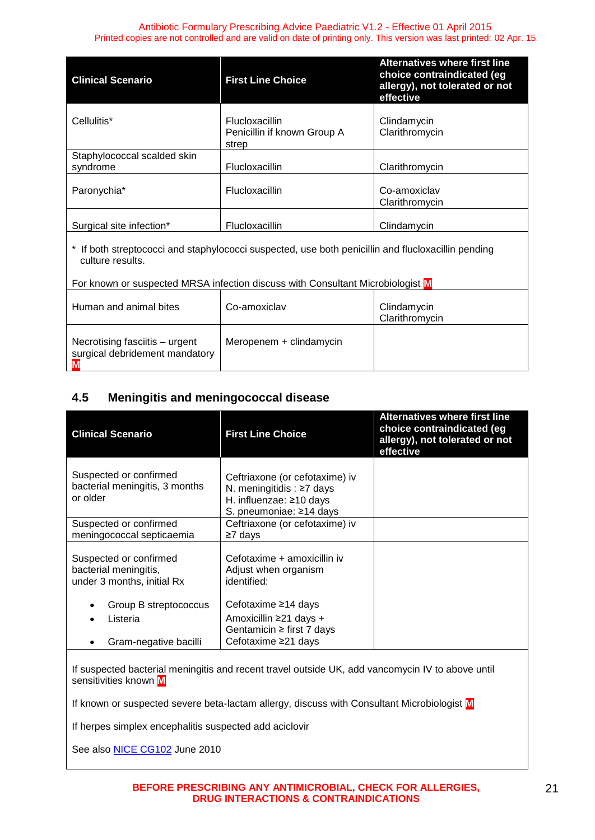| <b>Clinical Scenario</b>                | <b>First Line Choice</b>                                      | Alternatives where first line<br>choice contraindicated (eg<br>allergy), not tolerated or not<br>effective |
|-----------------------------------------|---------------------------------------------------------------|------------------------------------------------------------------------------------------------------------|
| Cellulitis*                             | <b>Flucloxacillin</b><br>Penicillin if known Group A<br>strep | Clindamycin<br>Clarithromycin                                                                              |
| Staphylococcal scalded skin<br>syndrome | <b>Flucloxacillin</b>                                         | Clarithromycin                                                                                             |
| Paronychia*                             | <b>Flucloxacillin</b>                                         | Co-amoxiclav<br>Clarithromycin                                                                             |
| Surgical site infection*                | Flucloxacillin                                                | Clindamycin                                                                                                |

\* If both streptococci and staphylococci suspected, use both penicillin and flucloxacillin pending culture results.

For known or suspected MRSA infection discuss with Consultant Microbiologist **M**

| Human and animal bites                                           | Co-amoxiclay            | Clindamycin<br>Clarithromycin |
|------------------------------------------------------------------|-------------------------|-------------------------------|
| Necrotising fasciitis - urgent<br>surgical debridement mandatory | Meropenem + clindamycin |                               |

## <span id="page-20-0"></span>**4.5 Meningitis and meningococcal disease**

| <b>Clinical Scenario</b>                                                      | <b>First Line Choice</b>                                                                                               | <b>Alternatives where first line</b><br>choice contraindicated (eg<br>allergy), not tolerated or not<br>effective |
|-------------------------------------------------------------------------------|------------------------------------------------------------------------------------------------------------------------|-------------------------------------------------------------------------------------------------------------------|
| Suspected or confirmed<br>bacterial meningitis, 3 months<br>or older          | Ceftriaxone (or cefotaxime) iv<br>N. meningitidis: $\geq 7$ days<br>H. influenzae: ≥10 days<br>S. pneumoniae: ≥14 days |                                                                                                                   |
| Suspected or confirmed<br>meningococcal septicaemia                           | Ceftriaxone (or cefotaxime) iv<br>≥7 days                                                                              |                                                                                                                   |
| Suspected or confirmed<br>bacterial meningitis,<br>under 3 months, initial Rx | Cefotaxime + amoxicillin iv<br>Adjust when organism<br>identified:                                                     |                                                                                                                   |
| Group B streptococcus<br>Listeria<br>Gram-negative bacilli                    | Cefotaxime ≥14 days<br>Amoxicillin ≥21 days +<br>Gentamicin $\ge$ first 7 days<br>Cefotaxime ≥21 days                  |                                                                                                                   |

If suspected bacterial meningitis and recent travel outside UK, add vancomycin IV to above until sensitivities known **M**

If known or suspected severe beta-lactam allergy, discuss with Consultant Microbiologist **M**

If herpes simplex encephalitis suspected add aciclovir

See also [NICE CG102](http://guidance.nice.org.uk/CG102) June 2010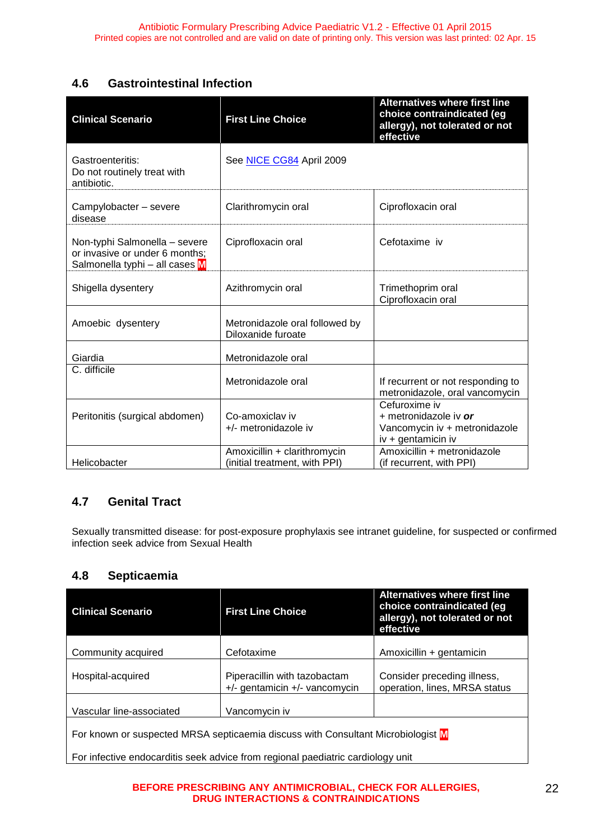## <span id="page-21-0"></span>**4.6 Gastrointestinal Infection**

| <b>Clinical Scenario</b>                                                                          | <b>First Line Choice</b>                                      | <b>Alternatives where first line</b><br>choice contraindicated (eg<br>allergy), not tolerated or not<br>effective |
|---------------------------------------------------------------------------------------------------|---------------------------------------------------------------|-------------------------------------------------------------------------------------------------------------------|
| Gastroenteritis:<br>Do not routinely treat with<br>antibiotic.                                    | See NICE CG84 April 2009                                      |                                                                                                                   |
| Campylobacter - severe<br>disease                                                                 | Clarithromycin oral                                           | Ciprofloxacin oral                                                                                                |
| Non-typhi Salmonella - severe<br>or invasive or under 6 months;<br>Salmonella typhi - all cases M | Ciprofloxacin oral                                            | Cefotaxime iv                                                                                                     |
| Shigella dysentery                                                                                | Azithromycin oral                                             | Trimethoprim oral<br>Ciprofloxacin oral                                                                           |
| Amoebic dysentery                                                                                 | Metronidazole oral followed by<br>Diloxanide furoate          |                                                                                                                   |
| Giardia                                                                                           | Metronidazole oral                                            |                                                                                                                   |
| C. difficile                                                                                      | Metronidazole oral                                            | If recurrent or not responding to<br>metronidazole, oral vancomycin                                               |
| Peritonitis (surgical abdomen)                                                                    | Co-amoxiclay iv<br>+/- metronidazole iv                       | Cefuroxime iv<br>+ metronidazole iv or<br>Vancomycin iv + metronidazole<br>iv + gentamicin iv                     |
| Helicobacter                                                                                      | Amoxicillin + clarithromycin<br>(initial treatment, with PPI) | Amoxicillin + metronidazole<br>(if recurrent, with PPI)                                                           |

## <span id="page-21-1"></span>**4.7 Genital Tract**

Sexually transmitted disease: for post-exposure prophylaxis see intranet guideline, for suspected or confirmed infection seek advice from Sexual Health

## <span id="page-21-2"></span>**4.8 Septicaemia**

| <b>Clinical Scenario</b>                                                                   | <b>First Line Choice</b>                                      | <b>Alternatives where first line</b><br>choice contraindicated (eg<br>allergy), not tolerated or not<br>effective |  |  |  |
|--------------------------------------------------------------------------------------------|---------------------------------------------------------------|-------------------------------------------------------------------------------------------------------------------|--|--|--|
| Community acquired                                                                         | Cefotaxime                                                    | Amoxicillin + gentamicin                                                                                          |  |  |  |
|                                                                                            |                                                               |                                                                                                                   |  |  |  |
| Hospital-acquired                                                                          | Piperacillin with tazobactam<br>+/- gentamicin +/- vancomycin | Consider preceding illness,<br>operation, lines, MRSA status                                                      |  |  |  |
| Vascular line-associated                                                                   | Vancomycin iv                                                 |                                                                                                                   |  |  |  |
| For known or suspected MRSA septicaemia discuss with Consultant Microbiologist $\mathbf M$ |                                                               |                                                                                                                   |  |  |  |
| For infective endocarditis seek advice from regional paediatric cardiology unit            |                                                               |                                                                                                                   |  |  |  |

**BEFORE PRESCRIBING ANY ANTIMICROBIAL, CHECK FOR ALLERGIES, DRUG INTERACTIONS & CONTRAINDICATIONS**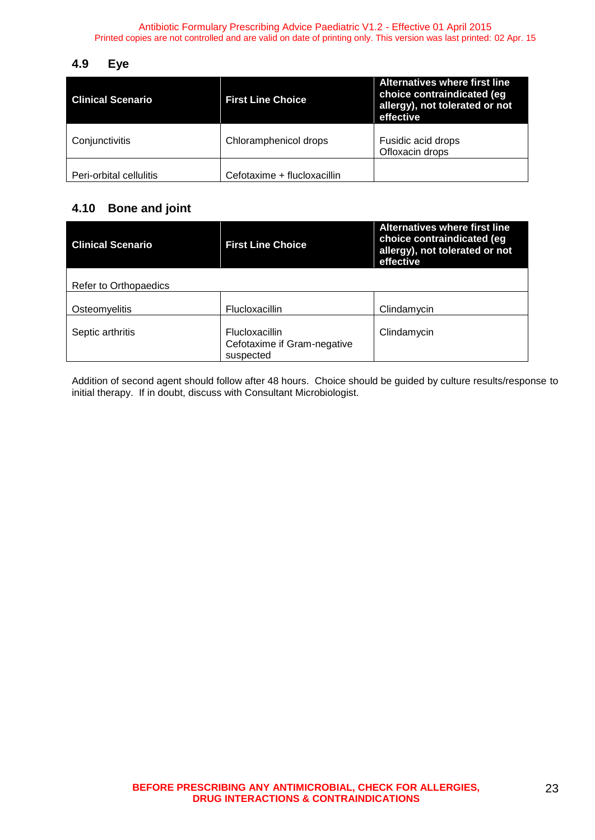#### <span id="page-22-0"></span>**4.9 Eye**

| <b>Clinical Scenario</b> | <b>First Line Choice</b>    | <b>Alternatives where first line</b><br>choice contraindicated (eg<br>allergy), not tolerated or not<br>effective |
|--------------------------|-----------------------------|-------------------------------------------------------------------------------------------------------------------|
| Conjunctivitis           | Chloramphenicol drops       | Fusidic acid drops<br>Ofloxacin drops                                                                             |
| Peri-orbital cellulitis  | Cefotaxime + flucloxacillin |                                                                                                                   |

## <span id="page-22-1"></span>**4.10 Bone and joint**

| <b>Clinical Scenario</b> | <b>First Line Choice</b>                                   | <b>Alternatives where first line</b><br>choice contraindicated (eg<br>allergy), not tolerated or not<br>effective |
|--------------------------|------------------------------------------------------------|-------------------------------------------------------------------------------------------------------------------|
| Refer to Orthopaedics    |                                                            |                                                                                                                   |
| Osteomyelitis            | <b>Flucloxacillin</b>                                      | Clindamycin                                                                                                       |
| Septic arthritis         | Flucloxacillin<br>Cefotaxime if Gram-negative<br>suspected | Clindamycin                                                                                                       |

Addition of second agent should follow after 48 hours. Choice should be guided by culture results/response to initial therapy. If in doubt, discuss with Consultant Microbiologist.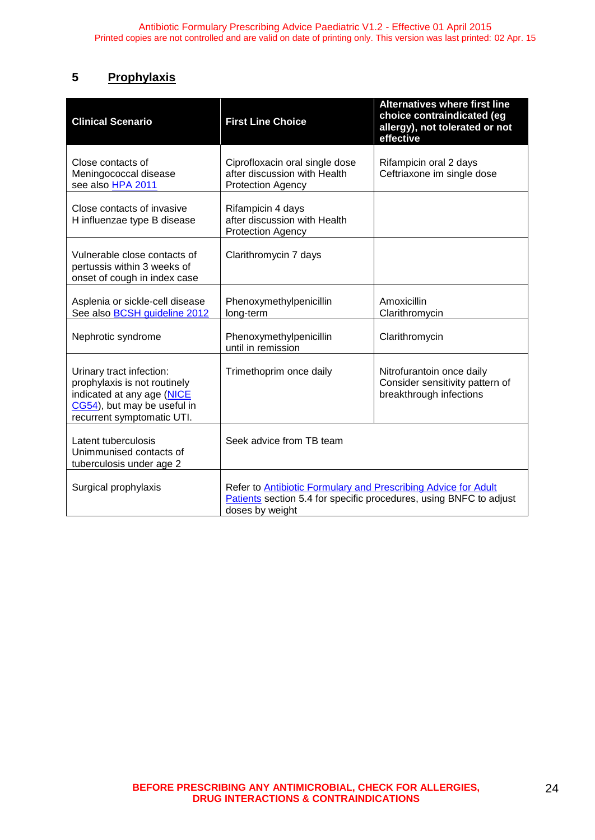## <span id="page-23-0"></span>**5 Prophylaxis**

| <b>Clinical Scenario</b>                                                                                                                            | <b>First Line Choice</b>                                                                                                                                | <b>Alternatives where first line</b><br>choice contraindicated (eg<br>allergy), not tolerated or not<br>effective |  |  |
|-----------------------------------------------------------------------------------------------------------------------------------------------------|---------------------------------------------------------------------------------------------------------------------------------------------------------|-------------------------------------------------------------------------------------------------------------------|--|--|
| Close contacts of<br>Meningococcal disease<br>see also HPA 2011                                                                                     | Ciprofloxacin oral single dose<br>after discussion with Health<br><b>Protection Agency</b>                                                              | Rifampicin oral 2 days<br>Ceftriaxone im single dose                                                              |  |  |
| Close contacts of invasive<br>H influenzae type B disease                                                                                           | Rifampicin 4 days<br>after discussion with Health<br><b>Protection Agency</b>                                                                           |                                                                                                                   |  |  |
| Vulnerable close contacts of<br>pertussis within 3 weeks of<br>onset of cough in index case                                                         | Clarithromycin 7 days                                                                                                                                   |                                                                                                                   |  |  |
| Asplenia or sickle-cell disease<br>See also BCSH guideline 2012                                                                                     | Phenoxymethylpenicillin<br>long-term                                                                                                                    | Amoxicillin<br>Clarithromycin                                                                                     |  |  |
| Nephrotic syndrome                                                                                                                                  | Phenoxymethylpenicillin<br>until in remission                                                                                                           | Clarithromycin                                                                                                    |  |  |
| Urinary tract infection:<br>prophylaxis is not routinely<br>indicated at any age (NICE<br>CG54), but may be useful in<br>recurrent symptomatic UTI. | Trimethoprim once daily                                                                                                                                 | Nitrofurantoin once daily<br>Consider sensitivity pattern of<br>breakthrough infections                           |  |  |
| Latent tuberculosis<br>Unimmunised contacts of<br>tuberculosis under age 2                                                                          | Seek advice from TB team                                                                                                                                |                                                                                                                   |  |  |
| Surgical prophylaxis                                                                                                                                | Refer to Antibiotic Formulary and Prescribing Advice for Adult<br>Patients section 5.4 for specific procedures, using BNFC to adjust<br>doses by weight |                                                                                                                   |  |  |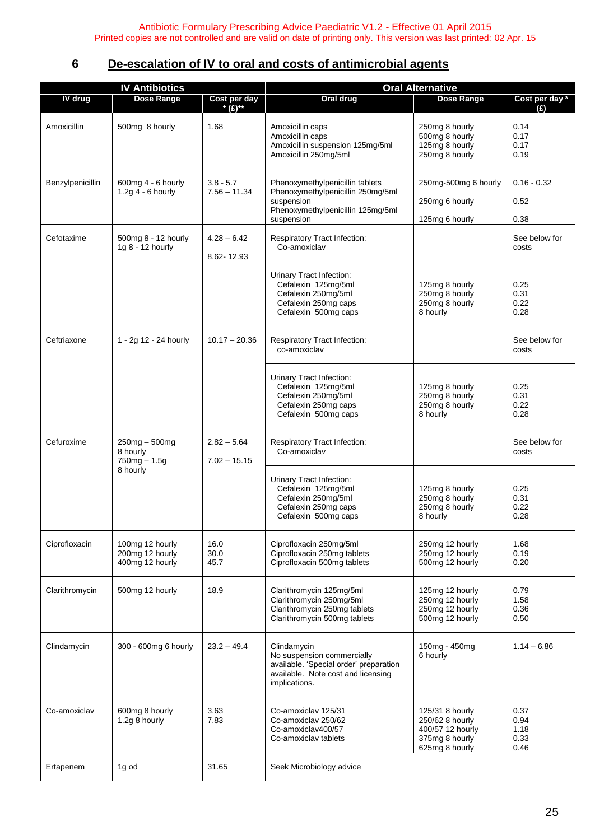## <span id="page-24-0"></span>**6 De-escalation of IV to oral and costs of antimicrobial agents**

|                  | <b>IV Antibiotics</b>                                 |                                 | <b>Oral Alternative</b>                                                                                                                    |                                                                                            |                                      |
|------------------|-------------------------------------------------------|---------------------------------|--------------------------------------------------------------------------------------------------------------------------------------------|--------------------------------------------------------------------------------------------|--------------------------------------|
| IV drug          | <b>Dose Range</b>                                     | Cost per day<br>* $(E)$ **      | Oral drug                                                                                                                                  | <b>Dose Range</b>                                                                          | Cost per day *                       |
| Amoxicillin      | 500mg 8 hourly                                        | 1.68                            | Amoxicillin caps<br>Amoxicillin caps<br>Amoxicillin suspension 125mg/5ml<br>Amoxicillin 250mg/5ml                                          | 250mg 8 hourly<br>500mg 8 hourly<br>125mg 8 hourly<br>250mg 8 hourly                       | (E)<br>0.14<br>0.17<br>0.17<br>0.19  |
| Benzylpenicillin | 600mg 4 - 6 hourly<br>1.2g $4 - 6$ hourly             | $3.8 - 5.7$<br>$7.56 - 11.34$   | Phenoxymethylpenicillin tablets<br>Phenoxymethylpenicillin 250mg/5ml<br>suspension<br>Phenoxymethylpenicillin 125mg/5ml<br>suspension      | 250mg-500mg 6 hourly<br>250mg 6 hourly<br>125mg 6 hourly                                   | $0.16 - 0.32$<br>0.52<br>0.38        |
| Cefotaxime       | 500mg 8 - 12 hourly<br>1g 8 - 12 hourly               | $4.28 - 6.42$<br>8.62-12.93     | Respiratory Tract Infection:<br>Co-amoxiclav                                                                                               |                                                                                            | See below for<br>costs               |
|                  |                                                       |                                 | <b>Urinary Tract Infection:</b><br>Cefalexin 125mg/5ml<br>Cefalexin 250mg/5ml<br>Cefalexin 250mg caps<br>Cefalexin 500mg caps              | 125mg 8 hourly<br>250mg 8 hourly<br>250mg 8 hourly<br>8 hourly                             | 0.25<br>0.31<br>0.22<br>0.28         |
| Ceftriaxone      | 1 - 2g 12 - 24 hourly                                 | $10.17 - 20.36$                 | Respiratory Tract Infection:<br>co-amoxiclav                                                                                               |                                                                                            | See below for<br>costs               |
|                  |                                                       |                                 | Urinary Tract Infection:<br>Cefalexin 125mg/5ml<br>Cefalexin 250mg/5ml<br>Cefalexin 250mg caps<br>Cefalexin 500mg caps                     | 125mg 8 hourly<br>250mg 8 hourly<br>250mg 8 hourly<br>8 hourly                             | 0.25<br>0.31<br>0.22<br>0.28         |
| Cefuroxime       | $250mg - 500mg$<br>8 hourly<br>$750mg - 1.5g$         | $2.82 - 5.64$<br>$7.02 - 15.15$ | Respiratory Tract Infection:<br>Co-amoxiclav                                                                                               |                                                                                            | See below for<br>costs               |
|                  | 8 hourly                                              |                                 | <b>Urinary Tract Infection:</b><br>Cefalexin 125mg/5ml<br>Cefalexin 250mg/5ml<br>Cefalexin 250mg caps<br>Cefalexin 500mg caps              | 125mg 8 hourly<br>250mg 8 hourly<br>250mg 8 hourly<br>8 hourly                             | 0.25<br>0.31<br>0.22<br>0.28         |
| Ciprofloxacin    | 100mg 12 hourly<br>200mg 12 hourly<br>400mg 12 hourly | 16.0<br>30.0<br>45.7            | Ciprofloxacin 250mg/5ml<br>Ciprofloxacin 250mg tablets<br>Ciprofloxacin 500mg tablets                                                      | 250mg 12 hourly<br>250mg 12 hourly<br>500mg 12 hourly                                      | 1.68<br>0.19<br>0.20                 |
| Clarithromycin   | 500mg 12 hourly                                       | 18.9                            | Clarithromycin 125mg/5ml<br>Clarithromycin 250mg/5ml<br>Clarithromycin 250mg tablets<br>Clarithromycin 500mg tablets                       | 125mg 12 hourly<br>250mg 12 hourly<br>250mg 12 hourly<br>500mg 12 hourly                   | 0.79<br>1.58<br>0.36<br>0.50         |
| Clindamycin      | 300 - 600mg 6 hourly                                  | $23.2 - 49.4$                   | Clindamycin<br>No suspension commercially<br>available. 'Special order' preparation<br>available. Note cost and licensing<br>implications. | 150mg - 450mg<br>6 hourly                                                                  | $1.14 - 6.86$                        |
| Co-amoxiclav     | 600mg 8 hourly<br>1.2g 8 hourly                       | 3.63<br>7.83                    | Co-amoxiclav 125/31<br>Co-amoxiclav 250/62<br>Co-amoxiclav400/57<br>Co-amoxiclay tablets                                                   | 125/31 8 hourly<br>250/62 8 hourly<br>400/57 12 hourly<br>375mg 8 hourly<br>625mg 8 hourly | 0.37<br>0.94<br>1.18<br>0.33<br>0.46 |
| Ertapenem        | 1g od                                                 | 31.65                           | Seek Microbiology advice                                                                                                                   |                                                                                            |                                      |